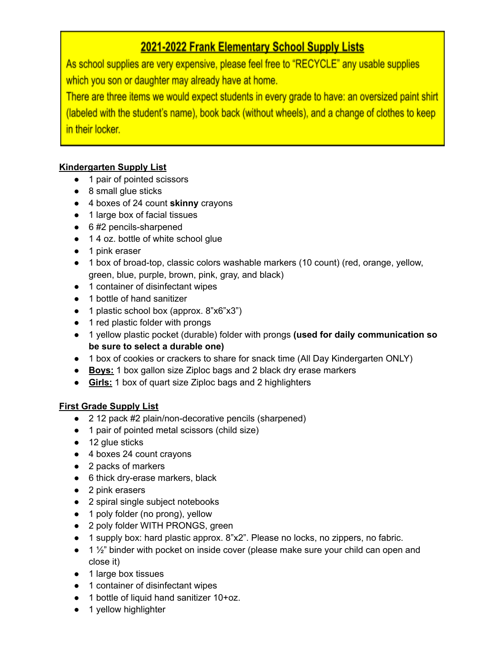# 2021-2022 Frank Elementary School Supply Lists

As school supplies are very expensive, please feel free to "RECYCLE" any usable supplies which you son or daughter may already have at home.

There are three items we would expect students in every grade to have: an oversized paint shirt (labeled with the student's name), book back (without wheels), and a change of clothes to keep in their locker.

## **Kindergarten Supply List**

- 1 pair of pointed scissors
- 8 small glue sticks
- 4 boxes of 24 count **skinny** crayons
- 1 large box of facial tissues
- 6#2 pencils-sharpened
- 1 4 oz. bottle of white school glue
- 1 pink eraser
- 1 box of broad-top, classic colors washable markers (10 count) (red, orange, yellow, green, blue, purple, brown, pink, gray, and black)
- 1 container of disinfectant wipes
- 1 bottle of hand sanitizer
- 1 plastic school box (approx. 8"x6"x3")
- 1 red plastic folder with prongs
- 1 yellow plastic pocket (durable) folder with prongs **(used for daily communication so be sure to select a durable one)**
- 1 box of cookies or crackers to share for snack time (All Day Kindergarten ONLY)
- **Boys:** 1 box gallon size Ziploc bags and 2 black dry erase markers
- **Girls:** 1 box of quart size Ziploc bags and 2 highlighters

### **First Grade Supply List**

- 2 12 pack #2 plain/non-decorative pencils (sharpened)
- 1 pair of pointed metal scissors (child size)
- 12 glue sticks
- 4 boxes 24 count crayons
- 2 packs of markers
- 6 thick dry-erase markers, black
- 2 pink erasers
- 2 spiral single subject notebooks
- 1 poly folder (no prong), yellow
- 2 poly folder WITH PRONGS, green
- 1 supply box: hard plastic approx. 8"x2". Please no locks, no zippers, no fabric.
- 1 1/2" binder with pocket on inside cover (please make sure your child can open and close it)
- 1 large box tissues
- 1 container of disinfectant wipes
- 1 bottle of liquid hand sanitizer 10+oz.
- 1 yellow highlighter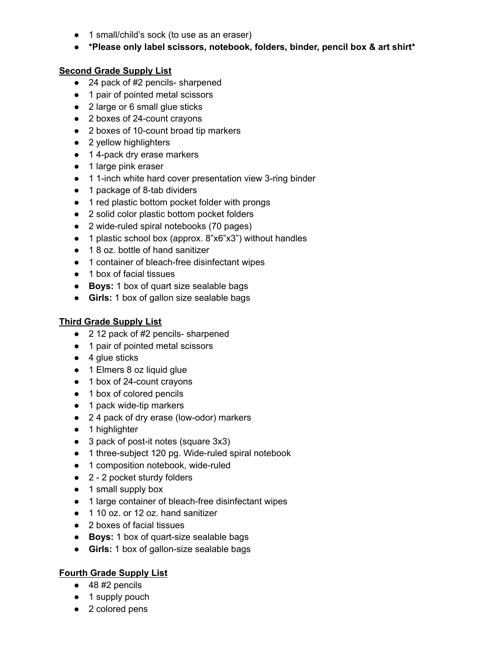- 1 small/child's sock (to use as an eraser)
- **● \*Please only label scissors, notebook, folders, binder, pencil box & art shirt\***

#### **Second Grade Supply List**

- 24 pack of #2 pencils- sharpened
- 1 pair of pointed metal scissors
- 2 large or 6 small glue sticks
- 2 boxes of 24-count crayons
- 2 boxes of 10-count broad tip markers
- 2 yellow highlighters
- 14-pack dry erase markers
- 1 large pink eraser
- 1 1-inch white hard cover presentation view 3-ring binder
- 1 package of 8-tab dividers
- 1 red plastic bottom pocket folder with prongs
- 2 solid color plastic bottom pocket folders
- 2 wide-ruled spiral notebooks (70 pages)
- 1 plastic school box (approx. 8"x6"x3") without handles
- 1 8 oz. bottle of hand sanitizer
- 1 container of bleach-free disinfectant wipes
- 1 box of facial tissues
- **Boys:** 1 box of quart size sealable bags
- **Girls:** 1 box of gallon size sealable bags

#### **Third Grade Supply List**

- 2 12 pack of #2 pencils- sharpened
- 1 pair of pointed metal scissors
- $\bullet$  4 glue sticks
- 1 Elmers 8 oz liquid glue
- 1 box of 24-count crayons
- 1 box of colored pencils
- 1 pack wide-tip markers
- 2 4 pack of dry erase (low-odor) markers
- 1 highlighter
- 3 pack of post-it notes (square 3x3)
- 1 three-subject 120 pg. Wide-ruled spiral notebook
- 1 composition notebook, wide-ruled
- 2 2 pocket sturdy folders
- 1 small supply box
- 1 large container of bleach-free disinfectant wipes
- 1 10 oz. or 12 oz. hand sanitizer
- 2 boxes of facial tissues
- **Boys:** 1 box of quart-size sealable bags
- **Girls:** 1 box of gallon-size sealable bags

#### **Fourth Grade Supply List**

- $\bullet$  48 #2 pencils
- 1 supply pouch
- 2 colored pens